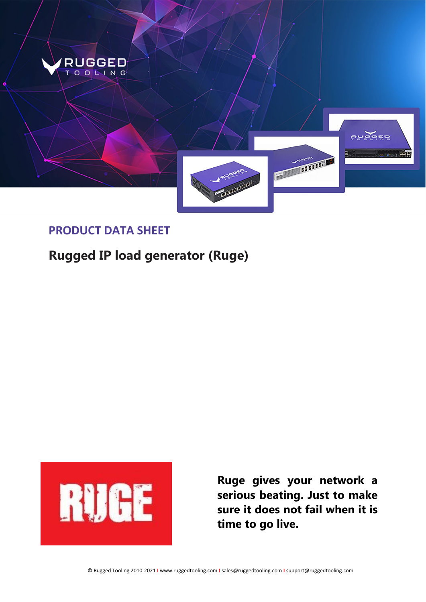

## **PRODUCT DATA SHEET**

# **Rugged IP load generator (Ruge)**



**Ruge gives your network a serious beating. Just to make sure it does not fail when it is time to go live.**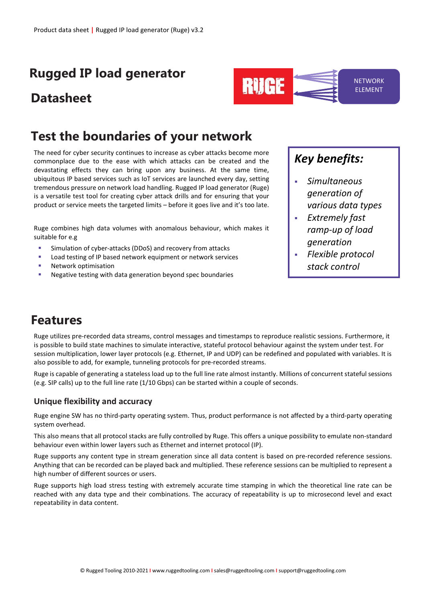# **Rugged IP load generator**

# **Datasheet**

# **Test the boundaries of your network**

The need for cyber security continues to increase as cyber attacks become more commonplace due to the ease with which attacks can be created and the devastating effects they can bring upon any business. At the same time, ubiquitous IP based services such as IoT services are launched every day, setting tremendous pressure on network load handling. Rugged IP load generator (Ruge) is a versatile test tool for creating cyber attack drills and for ensuring that your product or service meets the targeted limits – before it goes live and it's too late.

Ruge combines high data volumes with anomalous behaviour, which makes it suitable for e.g

- Simulation of cyber-attacks (DDoS) and recovery from attacks
- Load testing of IP based network equipment or network services
- Network optimisation
- Negative testing with data generation beyond spec boundaries

## *Key benefits:*

**RUGE** 

 *Simultaneous generation of various data types*

**NETWORK** ELEMENT

- *Extremely fast ramp-up of load generation*
- *Flexible protocol stack control*

# **Features**

Ruge utilizes pre-recorded data streams, control messages and timestamps to reproduce realistic sessions. Furthermore, it is possible to build state machines to simulate interactive, stateful protocol behaviour against the system under test. For session multiplication, lower layer protocols (e.g. Ethernet, IP and UDP) can be redefined and populated with variables. It is also possible to add, for example, tunneling protocols for pre-recorded streams.

Ruge is capable of generating a stateless load up to the full line rate almost instantly. Millions of concurrent stateful sessions (e.g. SIP calls) up to the full line rate (1/10 Gbps) can be started within a couple of seconds.

## **Unique flexibility and accuracy**

Ruge engine SW has no third-party operating system. Thus, product performance is not affected by a third-party operating system overhead.

This also means that all protocol stacks are fully controlled by Ruge. This offers a unique possibility to emulate non-standard behaviour even within lower layers such as Ethernet and internet protocol (IP).

Ruge supports any content type in stream generation since all data content is based on pre-recorded reference sessions. Anything that can be recorded can be played back and multiplied. These reference sessions can be multiplied to represent a high number of different sources or users.

Ruge supports high load stress testing with extremely accurate time stamping in which the theoretical line rate can be reached with any data type and their combinations. The accuracy of repeatability is up to microsecond level and exact repeatability in data content.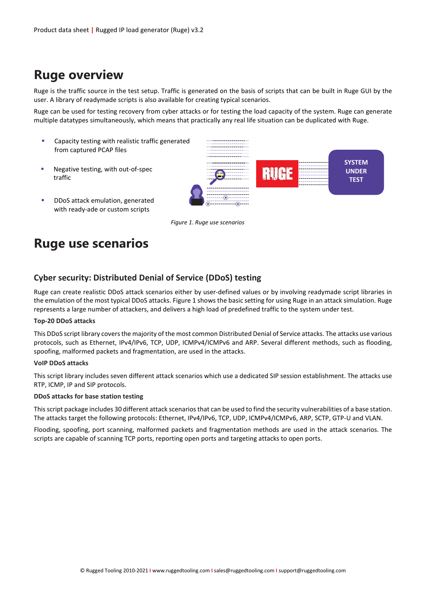# **Ruge overview**

Ruge is the traffic source in the test setup. Traffic is generated on the basis of scripts that can be built in Ruge GUI by the user. A library of readymade scripts is also available for creating typical scenarios.

Ruge can be used for testing recovery from cyber attacks or for testing the load capacity of the system. Ruge can generate multiple datatypes simultaneously, which means that practically any real life situation can be duplicated with Ruge.

- **EXEC** Capacity testing with realistic traffic generated from captured PCAP files
- **Negative testing, with out-of-spec** traffic
- **DDOS** attack emulation, generated with ready-ade or custom scripts



*Figure 1. Ruge use scenarios*

# **Ruge use scenarios**

## **Cyber security: Distributed Denial of Service (DDoS) testing**

Ruge can create realistic DDoS attack scenarios either by user-defined values or by involving readymade script libraries in the emulation of the most typical DDoS attacks. Figure 1 shows the basic setting for using Ruge in an attack simulation. Ruge represents a large number of attackers, and delivers a high load of predefined traffic to the system under test.

### **Top-20 DDoS attacks**

This DDoS script library covers the majority of the most common Distributed Denial of Service attacks. The attacks use various protocols, such as Ethernet, IPv4/IPv6, TCP, UDP, ICMPv4/ICMPv6 and ARP. Several different methods, such as flooding, spoofing, malformed packets and fragmentation, are used in the attacks.

### **VoIP DDoS attacks**

This script library includes seven different attack scenarios which use a dedicated SIP session establishment. The attacks use RTP, ICMP, IP and SIP protocols.

### **DDoS attacks for base station testing**

This script package includes 30 different attack scenarios that can be used to find the security vulnerabilities of a base station. The attacks target the following protocols: Ethernet, IPv4/IPv6, TCP, UDP, ICMPv4/ICMPv6, ARP, SCTP, GTP-U and VLAN.

Flooding, spoofing, port scanning, malformed packets and fragmentation methods are used in the attack scenarios. The scripts are capable of scanning TCP ports, reporting open ports and targeting attacks to open ports.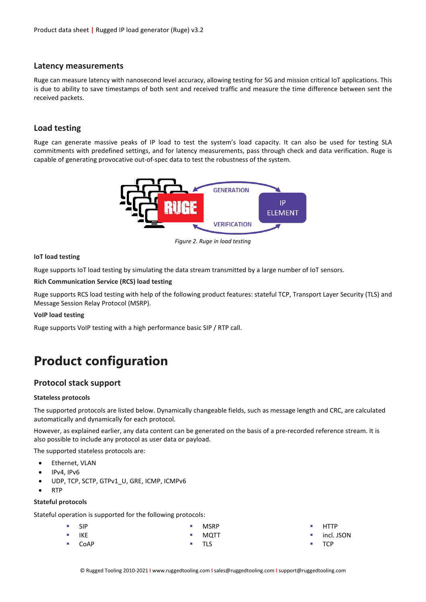### **Latency measurements**

Ruge can measure latency with nanosecond level accuracy, allowing testing for 5G and mission critical IoT applications. This is due to ability to save timestamps of both sent and received traffic and measure the time difference between sent the received packets.

## **Load testing**

Ruge can generate massive peaks of IP load to test the system's load capacity. It can also be used for testing SLA commitments with predefined settings, and for latency measurements, pass through check and data verification. Ruge is capable of generating provocative out-of-spec data to test the robustness of the system.



*Figure 2. Ruge in load testing*

#### **IoT load testing**

Ruge supports IoT load testing by simulating the data stream transmitted by a large number of IoT sensors.

**Rich Communication Service (RCS) load testing**

Ruge supports RCS load testing with help of the following product features: stateful TCP, Transport Layer Security (TLS) and Message Session Relay Protocol (MSRP).

#### **VoIP load testing**

Ruge supports VoIP testing with a high performance basic SIP / RTP call.

# **Product configuration**

### **Protocol stack support**

#### **Stateless protocols**

The supported protocols are listed below. Dynamically changeable fields, such as message length and CRC, are calculated automatically and dynamically for each protocol.

However, as explained earlier, any data content can be generated on the basis of a pre-recorded reference stream. It is also possible to include any protocol as user data or payload.

The supported stateless protocols are:

- Ethernet, VLAN
- IPv4, IPv6
- UDP, TCP, SCTP, GTPv1\_U, GRE, ICMP, ICMPv6
- RTP

#### **Stateful protocols**

Stateful operation is supported for the following protocols:

| ■ SIP              | $-MSRP$ |
|--------------------|---------|
| $\blacksquare$ IKE | $-MQTT$ |

CoAP

- **HTTP**
- incl. JSON
- **TCP**

TLS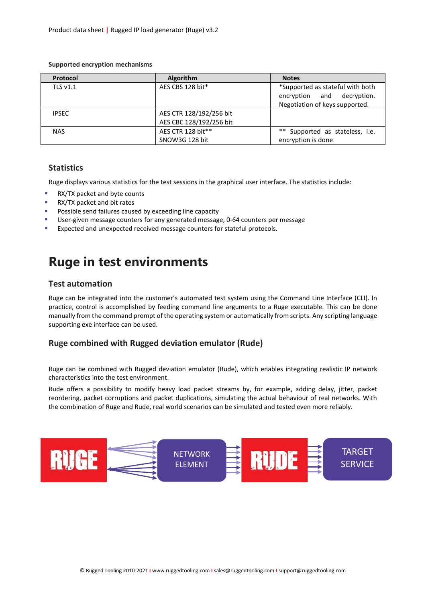| Protocol     | <b>Algorithm</b>        | <b>Notes</b>                                                                                     |
|--------------|-------------------------|--------------------------------------------------------------------------------------------------|
| TLS $v1.1$   | AES CBS 128 bit*        | *Supported as stateful with both<br>encryption and decryption.<br>Negotiation of keys supported. |
| <b>IPSEC</b> | AES CTR 128/192/256 bit |                                                                                                  |
|              | AES CBC 128/192/256 bit |                                                                                                  |
| <b>NAS</b>   | AES CTR 128 bit**       | ** Supported as stateless, i.e.                                                                  |
|              | SNOW3G 128 bit          | encryption is done                                                                               |

#### **Supported encryption mechanisms**

## **Statistics**

Ruge displays various statistics for the test sessions in the graphical user interface. The statistics include:

- **RX/TX packet and byte counts**
- **RX/TX packet and bit rates**
- Possible send failures caused by exceeding line capacity
- User-given message counters for any generated message, 0-64 counters per message
- Expected and unexpected received message counters for stateful protocols.

# **Ruge in test environments**

### **Test automation**

Ruge can be integrated into the customer's automated test system using the Command Line Interface (CLI). In practice, control is accomplished by feeding command line arguments to a Ruge executable. This can be done manually from the command prompt of the operating system or automatically from scripts. Any scripting language supporting exe interface can be used.

### **Ruge combined with Rugged deviation emulator (Rude)**

Ruge can be combined with Rugged deviation emulator (Rude), which enables integrating realistic IP network characteristics into the test environment.

Rude offers a possibility to modify heavy load packet streams by, for example, adding delay, jitter, packet reordering, packet corruptions and packet duplications, simulating the actual behaviour of real networks. With the combination of Ruge and Rude, real world scenarios can be simulated and tested even more reliably.